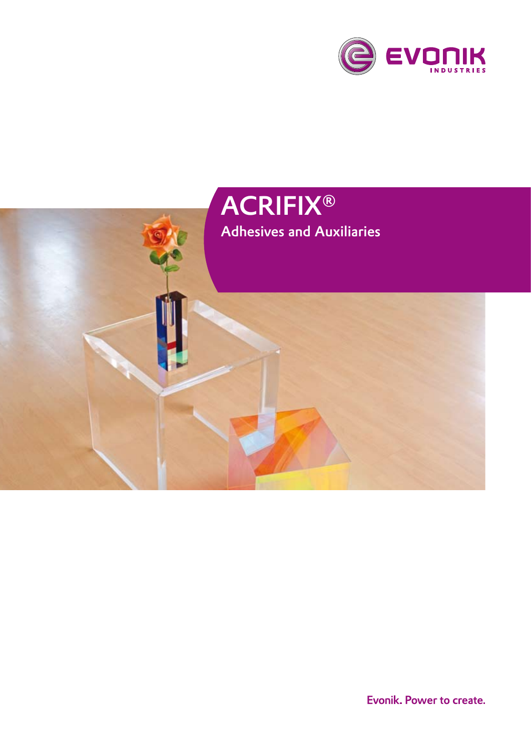

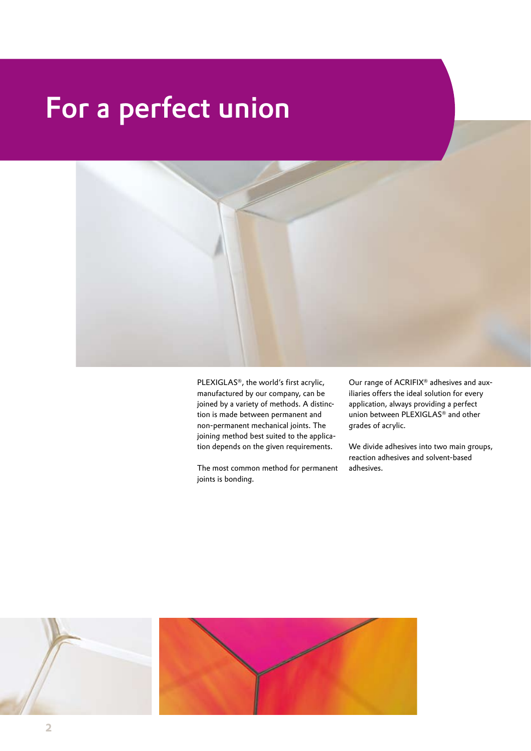## For a perfect union



PLEXIGLAS®, the world's first acrylic, manufactured by our company, can be joined by a variety of methods. A distinction is made between permanent and non-permanent mechanical joints. The joining method best suited to the application depends on the given requirements.

The most common method for permanent joints is bonding.

Our range of ACRIFIX® adhesives and auxiliaries offers the ideal solution for every application, always providing a perfect union between PLEXIGLAS® and other grades of acrylic.

We divide adhesives into two main groups, reaction adhesives and solvent-based adhesives.

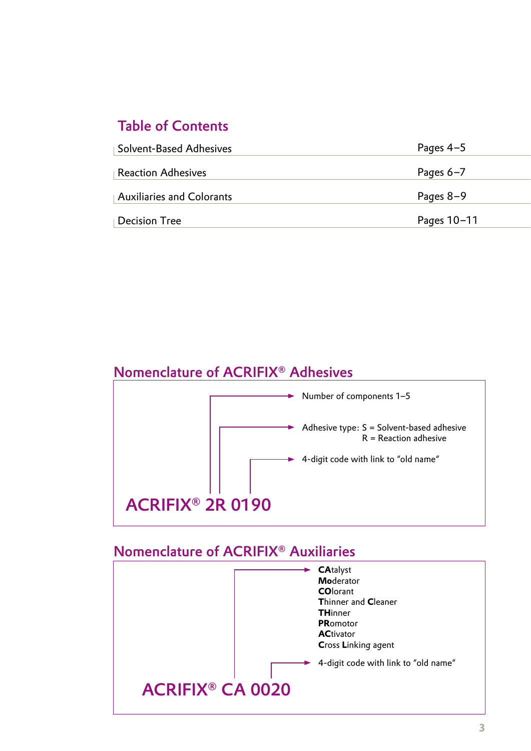## Table of Contents

| <b>Solvent-Based Adhesives</b> | Pages $4-5$ |
|--------------------------------|-------------|
| Reaction Adhesives             | Pages $6-7$ |
| $\,$ Auxiliaries and Colorants | Pages $8-9$ |
| <b>Decision Tree</b>           | Pages 10-11 |

## Nomenclature of ACRIFIX® Adhesives



### Nomenclature of ACRIFIX® Auxiliaries

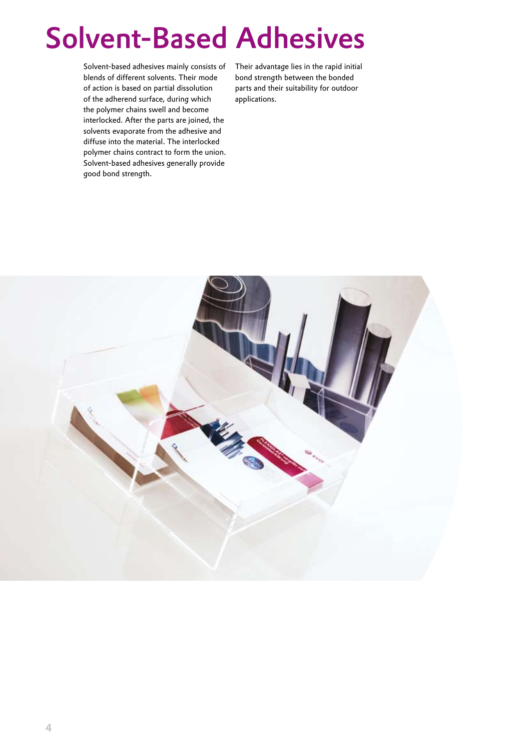# Solvent-Based Adhesives

Solvent-based adhesives mainly consists of blends of different solvents. Their mode of action is based on partial dissolution of the adherend surface, during which the polymer chains swell and become interlocked. After the parts are joined, the solvents evaporate from the adhesive and diffuse into the material. The interlocked polymer chains contract to form the union. Solvent-based adhesives generally provide good bond strength.

Their advantage lies in the rapid initial bond strength between the bonded parts and their suitability for outdoor applications.

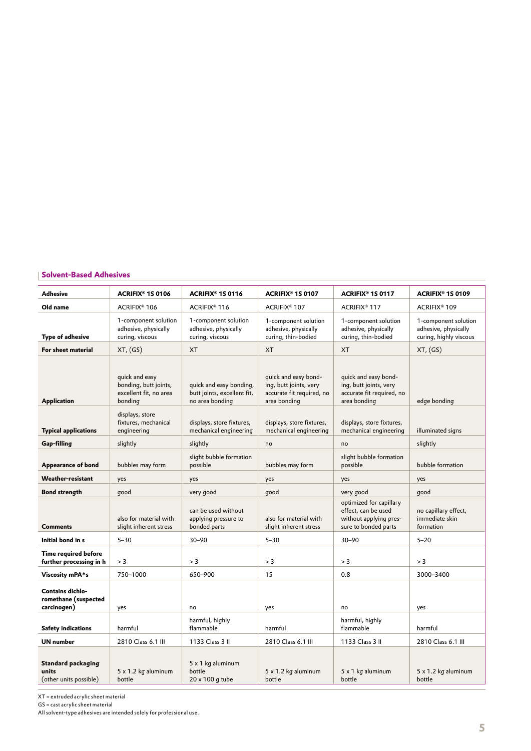### **Solvent-Based Adhesives**

| <b>Adhesive</b>                                                | ACRIFIX <sup>®</sup> 1S 0106                                                 | ACRIFIX® 1S 0116                                                          | ACRIFIX <sup>®</sup> 1S 0107                                                                | <b>ACRIFIX® 1S 0117</b>                                                                          | ACRIFIX <sup>®</sup> 1S 0109                                           |
|----------------------------------------------------------------|------------------------------------------------------------------------------|---------------------------------------------------------------------------|---------------------------------------------------------------------------------------------|--------------------------------------------------------------------------------------------------|------------------------------------------------------------------------|
| Old name                                                       | ACRIFIX <sup>®</sup> 106                                                     | ACRIFIX <sup>®</sup> 116                                                  | ACRIFIX <sup>®</sup> 107                                                                    | ACRIFIX <sup>®</sup> 117                                                                         | ACRIFIX <sup>®</sup> 109                                               |
| <b>Type of adhesive</b>                                        | 1-component solution<br>adhesive, physically<br>curing, viscous              | 1-component solution<br>adhesive, physically<br>curing, viscous           | 1-component solution<br>adhesive, physically<br>curing, thin-bodied                         | 1-component solution<br>adhesive, physically<br>curing, thin-bodied                              | 1-component solution<br>adhesive, physically<br>curing, highly viscous |
| For sheet material                                             | XT, (GS)                                                                     | <b>XT</b>                                                                 | <b>XT</b>                                                                                   | <b>XT</b>                                                                                        | XT, (GS)                                                               |
| <b>Application</b>                                             | quick and easy<br>bonding, butt joints,<br>excellent fit, no area<br>bonding | quick and easy bonding,<br>butt joints, excellent fit,<br>no area bonding | quick and easy bond-<br>ing, butt joints, very<br>accurate fit required, no<br>area bonding | quick and easy bond-<br>ing, butt joints, very<br>accurate fit required, no<br>area bonding      | edge bonding                                                           |
| <b>Typical applications</b>                                    | displays, store<br>fixtures, mechanical<br>engineering                       | displays, store fixtures,<br>mechanical engineering                       | displays, store fixtures,<br>mechanical engineering                                         | displays, store fixtures,<br>mechanical engineering                                              | illuminated signs                                                      |
| Gap-filling                                                    | slightly                                                                     | slightly                                                                  | no                                                                                          | no                                                                                               | slightly                                                               |
| Appearance of bond                                             | bubbles may form                                                             | slight bubble formation<br>possible                                       | bubbles may form                                                                            | slight bubble formation<br>possible                                                              | bubble formation                                                       |
| Weather-resistant                                              | yes                                                                          | yes                                                                       | yes                                                                                         | yes                                                                                              | yes                                                                    |
| <b>Bond strength</b>                                           | good                                                                         | very good                                                                 | qood                                                                                        | very good                                                                                        | good                                                                   |
| <b>Comments</b>                                                | also for material with<br>slight inherent stress                             | can be used without<br>applying pressure to<br>bonded parts               | also for material with<br>slight inherent stress                                            | optimized for capillary<br>effect, can be used<br>without applying pres-<br>sure to bonded parts | no capillary effect,<br>immediate skin<br>formation                    |
| Initial bond in s                                              | $5 - 30$                                                                     | $30 - 90$                                                                 | $5 - 30$                                                                                    | $30 - 90$                                                                                        | $5 - 20$                                                               |
| Time required before<br>further processing in h                | > 3                                                                          | > 3                                                                       | > 3                                                                                         | > 3                                                                                              | > 3                                                                    |
| Viscosity mPA*s                                                | 750-1000                                                                     | 650-900                                                                   | 15                                                                                          | 0.8                                                                                              | 3000-3400                                                              |
| <b>Contains dichlo-</b><br>romethane (suspected<br>carcinogen) | yes                                                                          | no                                                                        | yes                                                                                         | no                                                                                               | yes                                                                    |
| <b>Safety indications</b>                                      | harmful                                                                      | harmful, highly<br>flammable                                              | harmful                                                                                     | harmful, highly<br>flammable                                                                     | harmful                                                                |
| <b>UN</b> number                                               | 2810 Class 6.1 III                                                           | 1133 Class 3 II                                                           | 2810 Class 6.1 III                                                                          | 1133 Class 3 II                                                                                  | 2810 Class 6.1 III                                                     |
| Standard packaging<br>units<br>(other units possible)          | $5 \times 1.2$ kg aluminum<br>bottle                                         | $5 \times 1$ kg aluminum<br>bottle<br>20 x 100 g tube                     | $5 \times 1.2$ kg aluminum<br>bottle                                                        | 5 x 1 kg aluminum<br>bottle                                                                      | $5 \times 1.2$ kg aluminum<br>bottle                                   |

XT = extruded acrylic sheet material

GS = cast acrylic sheet material

All solvent-type adhesives are intended solely for professional use.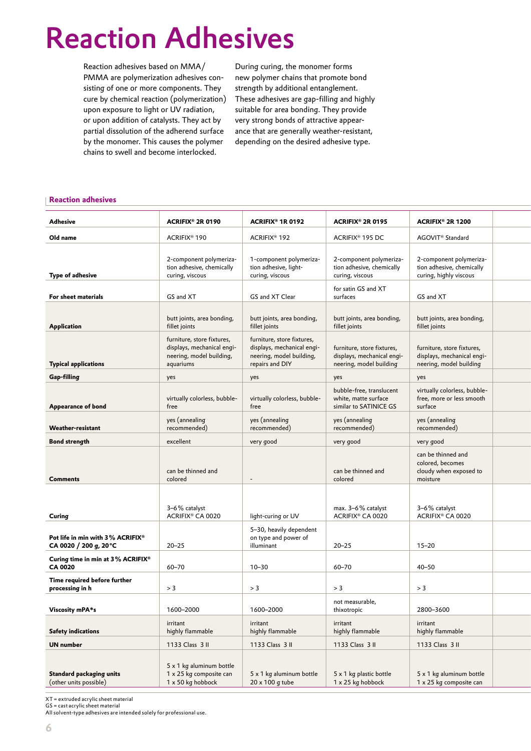# Reaction Adhesives

Reaction adhesives based on MMA/ PMMA are polymerization adhesives consisting of one or more components. They cure by chemical reaction (polymerization) upon exposure to light or UV radiation, or upon addition of catalysts. They act by partial dissolution of the adherend surface by the monomer. This causes the polymer chains to swell and become interlocked.

During curing, the monomer forms new polymer chains that promote bond strength by additional entanglement. These adhesives are gap-filling and highly suitable for area bonding. They provide very strong bonds of attractive appearance that are generally weather-resistant, depending on the desired adhesive type.

#### **Reaction adhesives Market launch from third quarter 2008 and the control of the control of the control of the control of the control of the control of the control of the control of the control of the control of the contro**

| <b>Adhesive</b>                                           | <b>ACRIFIX® 2R 0190</b>                                                                           | <b>ACRIFIX<sup>®</sup> 1R 0192</b>                                                                      | <b>ACRIFIX<sup>®</sup> 2R 0195</b>                                                  | <b>ACRIFIX® 2R 1200</b>                                                             |  |
|-----------------------------------------------------------|---------------------------------------------------------------------------------------------------|---------------------------------------------------------------------------------------------------------|-------------------------------------------------------------------------------------|-------------------------------------------------------------------------------------|--|
| Old name                                                  | ACRIFIX <sup>®</sup> 190                                                                          | ACRIFIX <sup>®</sup> 192                                                                                | ACRIFIX <sup>®</sup> 195 DC                                                         | AGOVIT <sup>®</sup> Standard                                                        |  |
| Type of adhesive                                          | 2-component polymeriza-<br>tion adhesive, chemically<br>curing, viscous                           | 1-component polymeriza-<br>tion adhesive, light-<br>curing, viscous                                     | 2-component polymeriza-<br>tion adhesive, chemically<br>curing, viscous             | 2-component polymeriza-<br>tion adhesive, chemically<br>curing, highly viscous      |  |
| For sheet materials                                       | GS and XT                                                                                         | GS and XT Clear                                                                                         | for satin GS and XT<br>surfaces                                                     | GS and XT                                                                           |  |
| Application                                               | butt joints, area bonding,<br>fillet joints                                                       | butt joints, area bonding,<br>fillet joints                                                             | butt joints, area bonding,<br>fillet joints                                         | butt joints, area bonding,<br>fillet joints                                         |  |
| <b>Typical applications</b>                               | furniture, store fixtures,<br>displays, mechanical engi-<br>neering, model building,<br>aquariums | furniture, store fixtures,<br>displays, mechanical engi-<br>neering, model building,<br>repairs and DIY | furniture, store fixtures,<br>displays, mechanical engi-<br>neering, model building | furniture, store fixtures,<br>displays, mechanical engi-<br>neering, model building |  |
| Gap-filling                                               | yes                                                                                               | yes                                                                                                     | yes                                                                                 | yes                                                                                 |  |
| <b>Appearance of bond</b>                                 | virtually colorless, bubble-<br>free                                                              | virtually colorless, bubble-<br>free                                                                    | bubble-free, translucent<br>white, matte surface<br>similar to SATINICE GS          | virtually colorless, bubble-<br>free, more or less smooth<br>surface                |  |
| Weather-resistant                                         | yes (annealing<br>recommended)                                                                    | yes (annealing<br>recommended)                                                                          | yes (annealing<br>recommended)                                                      | yes (annealing<br>recommended)                                                      |  |
| <b>Bond strength</b>                                      | excellent                                                                                         | very good                                                                                               | very good                                                                           | very good                                                                           |  |
| <b>Comments</b>                                           | can be thinned and<br>colored                                                                     | $\sim$                                                                                                  | can be thinned and<br>colored                                                       | can be thinned and<br>colored, becomes<br>cloudy when exposed to<br>moisture        |  |
| Curing                                                    | 3-6% catalyst<br>ACRIFIX® CA 0020                                                                 | light-curing or UV                                                                                      | max. 3-6% catalyst<br>ACRIFIX® CA 0020                                              | 3-6% catalyst<br>ACRIFIX® CA 0020                                                   |  |
| Pot life in min with 3% ACRIFIX®<br>CA 0020 / 200 g, 20°C | $20 - 25$                                                                                         | 5-30, heavily dependent<br>on type and power of<br>illuminant                                           | $20 - 25$                                                                           | $15 - 20$                                                                           |  |
| Curing time in min at 3% ACRIFIX®<br><b>CA 0020</b>       | 60-70                                                                                             | $10 - 30$                                                                                               | 60-70                                                                               | $40 - 50$                                                                           |  |
| Time required before further<br>processing in h           | > 3                                                                                               | > 3                                                                                                     | > 3                                                                                 | > 3                                                                                 |  |
|                                                           |                                                                                                   |                                                                                                         | not measurable,                                                                     |                                                                                     |  |
| Viscosity mPA*s                                           | 1600-2000                                                                                         | 1600-2000                                                                                               | thixotropic                                                                         | 2800-3600                                                                           |  |
| <b>Safety indications</b>                                 | irritant<br>highly flammable                                                                      | irritant<br>highly flammable                                                                            | irritant<br>highly flammable                                                        | irritant<br>highly flammable                                                        |  |
| <b>UN</b> number                                          | 1133 Class 3 II                                                                                   | 1133 Class 3 II                                                                                         | 1133 Class 3 II                                                                     | 1133 Class 3 II                                                                     |  |
| Standard packaging units<br>(other units possible)        | 5 x 1 kg aluminum bottle<br>1 x 25 kg composite can<br>$1 \times 50$ kg hobbock                   | 5 x 1 kg aluminum bottle<br>$20 \times 100$ g tube                                                      | 5 x 1 kg plastic bottle<br>1 x 25 kg hobbock                                        | 5 x 1 kg aluminum bottle<br>1 x 25 kg composite can                                 |  |

XT = extruded acrylic sheet material

GS = cast acrylic sheet material

All solvent-type adhesives are intended solely for professional use.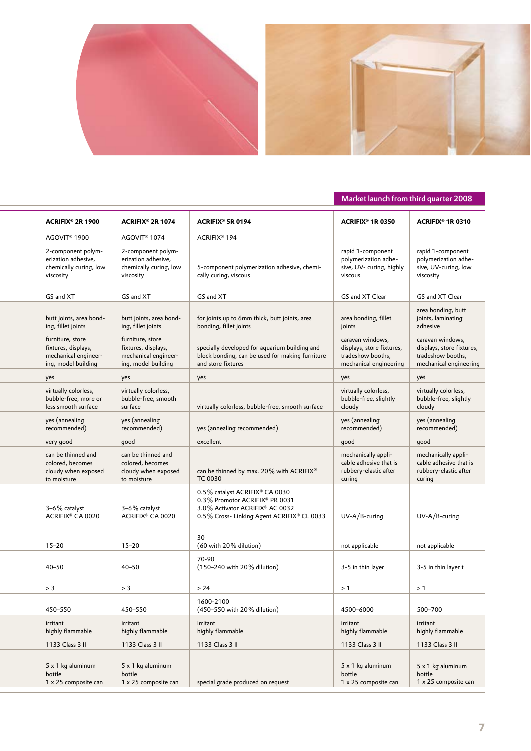

### **Reaction adhesives** Market launch from third quarter 2008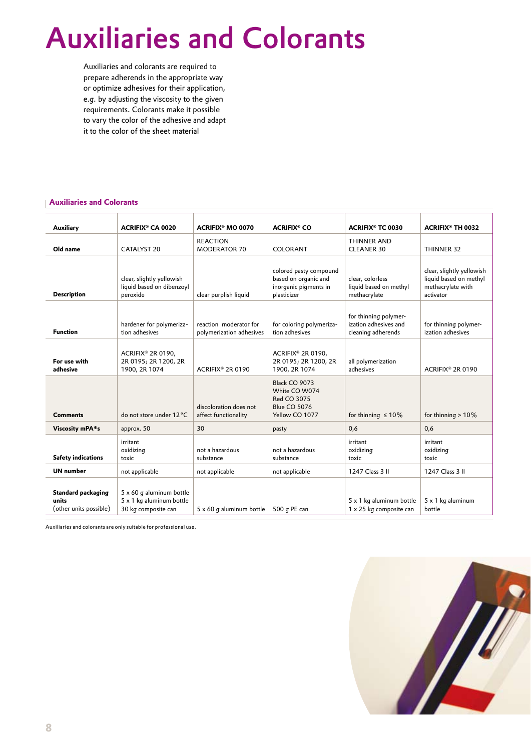# Auxiliaries and Colorants

Auxiliaries and colorants are required to prepare adherends in the appropriate way or optimize adhesives for their application, e.g. by adjusting the viscosity to the given requirements. Colorants make it possible to vary the color of the adhesive and adapt it to the color of the sheet material

#### **Auxiliaries and Colorants**

| Auxiliary                                             | <b>ACRIFIX® CA 0020</b>                                                     | <b>ACRIFIX<sup>®</sup> MO 0070</b>                 | <b>ACRIFIX® CO</b>                                                                     | <b>ACRIFIX<sup>®</sup> TC 0030</b>                                   | <b>ACRIFIX® TH 0032</b>                                                               |
|-------------------------------------------------------|-----------------------------------------------------------------------------|----------------------------------------------------|----------------------------------------------------------------------------------------|----------------------------------------------------------------------|---------------------------------------------------------------------------------------|
| Old name                                              | CATALYST 20                                                                 | <b>REACTION</b><br><b>MODERATOR 70</b>             | <b>COLORANT</b>                                                                        | <b>THINNER AND</b><br><b>CLEANER 30</b>                              | THINNER 32                                                                            |
| <b>Description</b>                                    | clear, slightly yellowish<br>liquid based on dibenzoyl<br>peroxide          | clear purplish liquid                              | colored pasty compound<br>based on organic and<br>inorganic pigments in<br>plasticizer | clear, colorless<br>liquid based on methyl<br>methacrylate           | clear, slightly yellowish<br>liquid based on methyl<br>methacrylate with<br>activator |
| <b>Function</b>                                       | hardener for polymeriza-<br>tion adhesives                                  | reaction moderator for<br>polymerization adhesives | for coloring polymeriza-<br>tion adhesives                                             | for thinning polymer-<br>ization adhesives and<br>cleaning adherends | for thinning polymer-<br>ization adhesives                                            |
| For use with<br>adhesive                              | ACRIFIX® 2R 0190,<br>2R 0195; 2R 1200, 2R<br>1900, 2R 1074                  | ACRIFIX® 2R 0190                                   | ACRIFIX® 2R 0190,<br>2R 0195; 2R 1200, 2R<br>1900, 2R 1074                             | all polymerization<br>adhesives                                      | ACRIFIX® 2R 0190                                                                      |
| <b>Comments</b>                                       | do not store under 12 °C                                                    | discoloration does not<br>affect functionality     | Black CO 9073<br>White CO W074<br>Red CO 3075<br><b>Blue CO 5076</b><br>Yellow CO 1077 | for thinning $\leq 10\%$                                             | for thinning $>10\%$                                                                  |
| Viscosity mPA*s                                       | approx. 50                                                                  | 30                                                 | pasty                                                                                  | 0,6                                                                  | 0,6                                                                                   |
| <b>Safety indications</b>                             | irritant<br>oxidizing<br>toxic                                              | not a hazardous<br>substance                       | not a hazardous<br>substance                                                           | irritant<br>oxidizing<br>toxic                                       | irritant<br>oxidizing<br>toxic                                                        |
| <b>UN number</b>                                      | not applicable                                                              | not applicable                                     | not applicable                                                                         | 1247 Class 3 II                                                      | 1247 Class 3 II                                                                       |
| Standard packaging<br>units<br>(other units possible) | 5 x 60 g aluminum bottle<br>5 x 1 kg aluminum bottle<br>30 kg composite can | $5 \times 60$ g aluminum bottle                    | 500 g PE can                                                                           | 5 x 1 kg aluminum bottle<br>1 x 25 kg composite can                  | 5 x 1 kg aluminum<br>bottle                                                           |

Auxiliaries and colorants are only suitable for professional use.

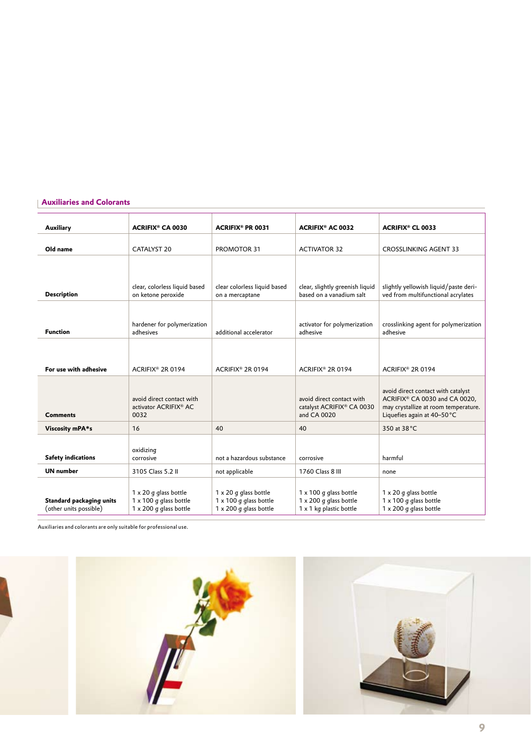### **Auxiliaries and Colorants**

| Auxiliary                                          | <b>ACRIFIX® CA 0030</b>                                                          | <b>ACRIFIX<sup>®</sup> PR 0031</b>                                                      | <b>ACRIFIX® AC 0032</b>                                                                   | <b>ACRIFIX® CL 0033</b>                                                                                                                   |
|----------------------------------------------------|----------------------------------------------------------------------------------|-----------------------------------------------------------------------------------------|-------------------------------------------------------------------------------------------|-------------------------------------------------------------------------------------------------------------------------------------------|
| Old name                                           | <b>CATALYST 20</b>                                                               | PROMOTOR 31                                                                             | <b>ACTIVATOR 32</b>                                                                       | <b>CROSSLINKING AGENT 33</b>                                                                                                              |
| <b>Description</b>                                 | clear, colorless liquid based<br>on ketone peroxide                              | clear colorless liquid based<br>on a mercaptane                                         | clear, slightly greenish liquid<br>based on a vanadium salt                               | slightly yellowish liquid/paste deri-<br>ved from multifunctional acrylates                                                               |
| <b>Function</b>                                    | hardener for polymerization<br>adhesives                                         | additional accelerator                                                                  | activator for polymerization<br>adhesive                                                  | crosslinking agent for polymerization<br>adhesive                                                                                         |
| For use with adhesive                              | ACRIFIX® 2R 0194                                                                 | ACRIFIX® 2R 0194                                                                        | ACRIFIX® 2R 0194                                                                          | ACRIFIX® 2R 0194                                                                                                                          |
| <b>Comments</b>                                    | avoid direct contact with<br>activator ACRIFIX® AC<br>0032                       |                                                                                         | avoid direct contact with<br>catalyst ACRIFIX® CA 0030<br>and CA 0020                     | avoid direct contact with catalyst<br>ACRIFIX® CA 0030 and CA 0020,<br>may crystallize at room temperature.<br>Liquefies again at 40-50°C |
| Viscosity mPA*s                                    | 16                                                                               | 40                                                                                      | 40                                                                                        | 350 at 38 °C                                                                                                                              |
| <b>Safety indications</b>                          | oxidizing<br>corrosive                                                           | not a hazardous substance                                                               | corrosive                                                                                 | harmful                                                                                                                                   |
| <b>UN</b> number                                   | 3105 Class 5.2 II                                                                | not applicable                                                                          | 1760 Class 8 III                                                                          | none                                                                                                                                      |
| Standard packaging units<br>(other units possible) | 1 x 20 g glass bottle<br>1 x 100 g glass bottle<br>$1 \times 200$ q glass bottle | $1 \times 20$ g glass bottle<br>1 x 100 g glass bottle<br>$1 \times 200$ q glass bottle | $1 \times 100$ g glass bottle<br>$1 \times 200$ g glass bottle<br>1 x 1 kg plastic bottle | 1 x 20 g glass bottle<br>1 x 100 g glass bottle<br>$1 \times 200$ q glass bottle                                                          |

Auxiliaries and colorants are only suitable for professional use.

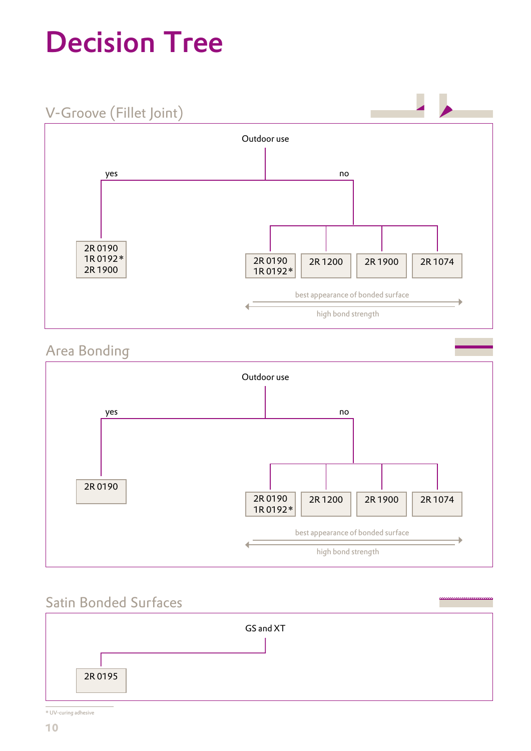# Decision Tree



## Area Bonding



## Satin Bonded Surfaces



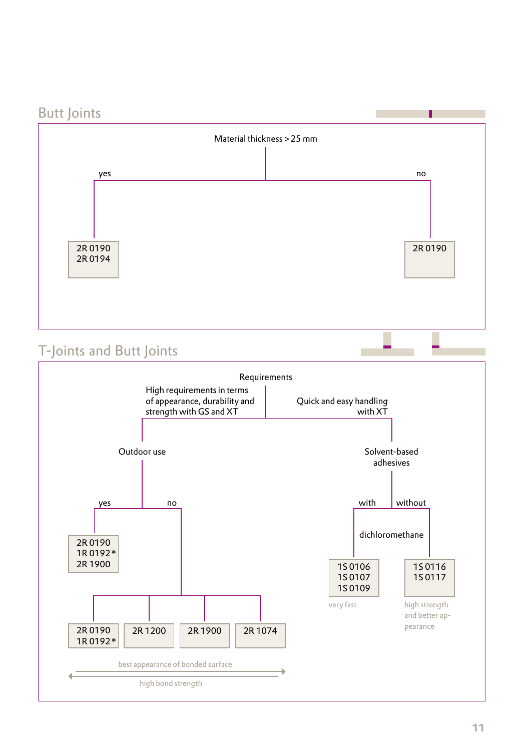